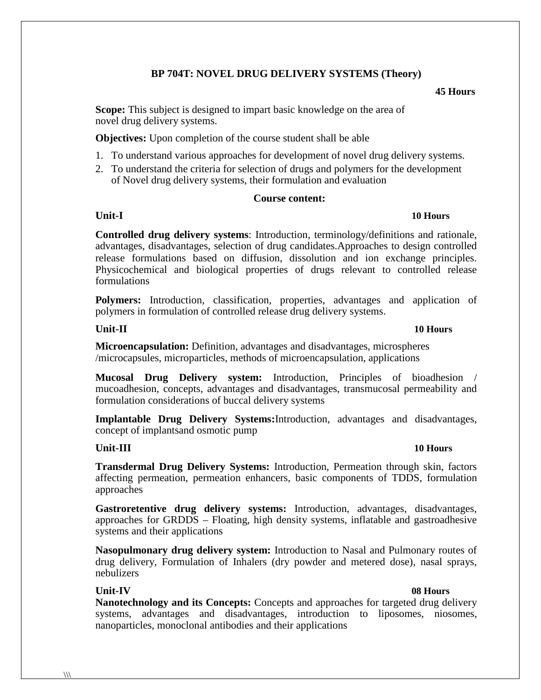# **BP 704T: NOVEL DRUG DELIVERY SYSTEMS (Theory)**

### **45 Hours**

**Scope:** This subject is designed to impart basic knowledge on the area of novel drug delivery systems.

**Objectives:** Upon completion of the course student shall be able

- 1. To understand various approaches for development of novel drug delivery systems.
- 2. To understand the criteria for selection of drugs and polymers for the development of Novel drug delivery systems, their formulation and evaluation

## **Course content:**

# **Unit-I 10 Hours**

**Controlled drug delivery systems**: Introduction, terminology/definitions and rationale, advantages, disadvantages, selection of drug candidates.Approaches to design controlled release formulations based on diffusion, dissolution and ion exchange principles. Physicochemical and biological properties of drugs relevant to controlled release formulations

**Polymers:** Introduction, classification, properties, advantages and application of polymers in formulation of controlled release drug delivery systems.

## **Unit-II 10 Hours**

**Microencapsulation:** Definition, advantages and disadvantages, microspheres /microcapsules, microparticles, methods of microencapsulation, applications

**Mucosal Drug Delivery system:** Introduction, Principles of bioadhesion / mucoadhesion, concepts, advantages and disadvantages, transmucosal permeability and formulation considerations of buccal delivery systems

**Implantable Drug Delivery Systems:**Introduction, advantages and disadvantages, concept of implantsand osmotic pump

# **Unit-III 10 Hours**

**Transdermal Drug Delivery Systems:** Introduction, Permeation through skin, factors affecting permeation, permeation enhancers, basic components of TDDS, formulation approaches

**Gastroretentive drug delivery systems:** Introduction, advantages, disadvantages, approaches for GRDDS – Floating, high density systems, inflatable and gastroadhesive systems and their applications

**Nasopulmonary drug delivery system:** Introduction to Nasal and Pulmonary routes of drug delivery, Formulation of Inhalers (dry powder and metered dose), nasal sprays, nebulizers

# **Unit-IV 08 Hours**

**Nanotechnology and its Concepts:** Concepts and approaches for targeted drug delivery systems, advantages and disadvantages, introduction to liposomes, niosomes, nanoparticles, monoclonal antibodies and their applications